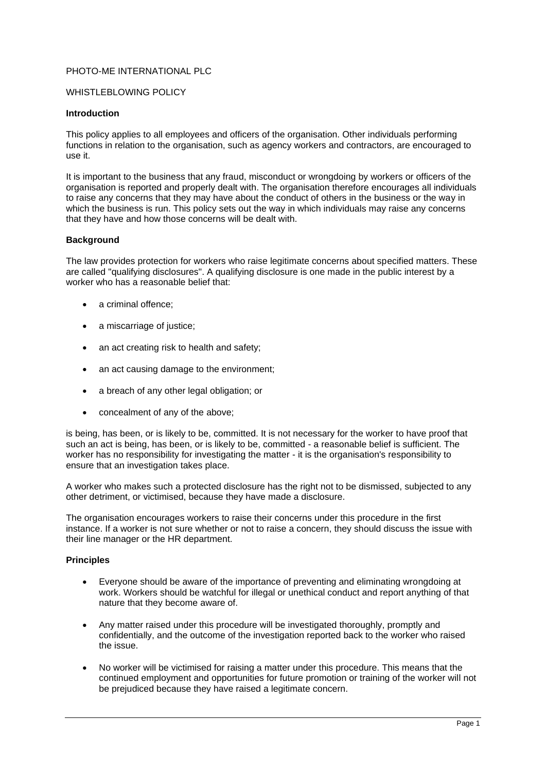# PHOTO-ME INTERNATIONAL PLC

### WHISTLEBLOWING POLICY

#### **Introduction**

This policy applies to all employees and officers of the organisation. Other individuals performing functions in relation to the organisation, such as agency workers and contractors, are encouraged to use it.

It is important to the business that any fraud, misconduct or wrongdoing by workers or officers of the organisation is reported and properly dealt with. The organisation therefore encourages all individuals to raise any concerns that they may have about the conduct of others in the business or the way in which the business is run. This policy sets out the way in which individuals may raise any concerns that they have and how those concerns will be dealt with.

### **Background**

The law provides protection for workers who raise legitimate concerns about specified matters. These are called "qualifying disclosures". A qualifying disclosure is one made in the public interest by a worker who has a reasonable belief that:

- a criminal offence:
- a miscarriage of justice;
- an act creating risk to health and safety:
- an act causing damage to the environment;
- a breach of any other legal obligation; or
- concealment of any of the above;

is being, has been, or is likely to be, committed. It is not necessary for the worker to have proof that such an act is being, has been, or is likely to be, committed - a reasonable belief is sufficient. The worker has no responsibility for investigating the matter - it is the organisation's responsibility to ensure that an investigation takes place.

A worker who makes such a protected disclosure has the right not to be dismissed, subjected to any other detriment, or victimised, because they have made a disclosure.

The organisation encourages workers to raise their concerns under this procedure in the first instance. If a worker is not sure whether or not to raise a concern, they should discuss the issue with their line manager or the HR department.

#### **Principles**

- Everyone should be aware of the importance of preventing and eliminating wrongdoing at work. Workers should be watchful for illegal or unethical conduct and report anything of that nature that they become aware of.
- Any matter raised under this procedure will be investigated thoroughly, promptly and confidentially, and the outcome of the investigation reported back to the worker who raised the issue.
- No worker will be victimised for raising a matter under this procedure. This means that the continued employment and opportunities for future promotion or training of the worker will not be prejudiced because they have raised a legitimate concern.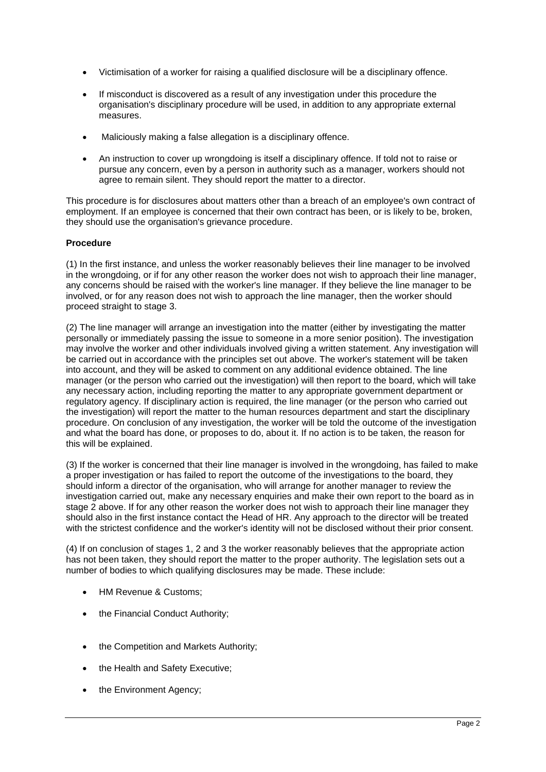- Victimisation of a worker for raising a qualified disclosure will be a disciplinary offence.
- If misconduct is discovered as a result of any investigation under this procedure the organisation's disciplinary procedure will be used, in addition to any appropriate external measures.
- Maliciously making a false allegation is a disciplinary offence.
- An instruction to cover up wrongdoing is itself a disciplinary offence. If told not to raise or pursue any concern, even by a person in authority such as a manager, workers should not agree to remain silent. They should report the matter to a director.

This procedure is for disclosures about matters other than a breach of an employee's own contract of employment. If an employee is concerned that their own contract has been, or is likely to be, broken, they should use the organisation's grievance procedure.

# **Procedure**

(1) In the first instance, and unless the worker reasonably believes their line manager to be involved in the wrongdoing, or if for any other reason the worker does not wish to approach their line manager, any concerns should be raised with the worker's line manager. If they believe the line manager to be involved, or for any reason does not wish to approach the line manager, then the worker should proceed straight to stage 3.

(2) The line manager will arrange an investigation into the matter (either by investigating the matter personally or immediately passing the issue to someone in a more senior position). The investigation may involve the worker and other individuals involved giving a written statement. Any investigation will be carried out in accordance with the principles set out above. The worker's statement will be taken into account, and they will be asked to comment on any additional evidence obtained. The line manager (or the person who carried out the investigation) will then report to the board, which will take any necessary action, including reporting the matter to any appropriate government department or regulatory agency. If disciplinary action is required, the line manager (or the person who carried out the investigation) will report the matter to the human resources department and start the disciplinary procedure. On conclusion of any investigation, the worker will be told the outcome of the investigation and what the board has done, or proposes to do, about it. If no action is to be taken, the reason for this will be explained.

(3) If the worker is concerned that their line manager is involved in the wrongdoing, has failed to make a proper investigation or has failed to report the outcome of the investigations to the board, they should inform a director of the organisation, who will arrange for another manager to review the investigation carried out, make any necessary enquiries and make their own report to the board as in stage 2 above. If for any other reason the worker does not wish to approach their line manager they should also in the first instance contact the Head of HR. Any approach to the director will be treated with the strictest confidence and the worker's identity will not be disclosed without their prior consent.

(4) If on conclusion of stages 1, 2 and 3 the worker reasonably believes that the appropriate action has not been taken, they should report the matter to the proper authority. The legislation sets out a number of bodies to which qualifying disclosures may be made. These include:

- HM Revenue & Customs:
- the Financial Conduct Authority;
- the Competition and Markets Authority;
- the Health and Safety Executive;
- the Environment Agency: